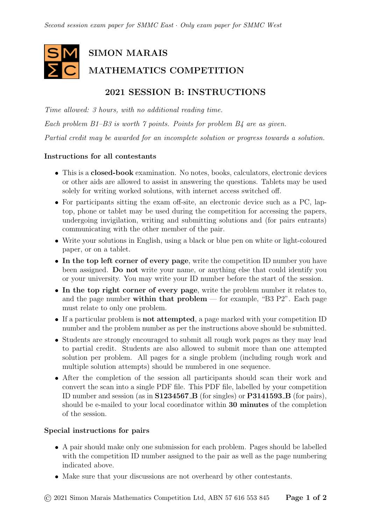# SIMON MARAIS MATHEMATICS COMPETITION

## 2021 SESSION B: INSTRUCTIONS

Time allowed: 3 hours, with no additional reading time. Each problem B1–B3 is worth 7 points. Points for problem B4 are as given.

Partial credit may be awarded for an incomplete solution or progress towards a solution.

#### Instructions for all contestants

- This is a closed-book examination. No notes, books, calculators, electronic devices or other aids are allowed to assist in answering the questions. Tablets may be used solely for writing worked solutions, with internet access switched off.
- For participants sitting the exam off-site, an electronic device such as a PC, laptop, phone or tablet may be used during the competition for accessing the papers, undergoing invigilation, writing and submitting solutions and (for pairs entrants) communicating with the other member of the pair.
- Write your solutions in English, using a black or blue pen on white or light-coloured paper, or on a tablet.
- In the top left corner of every page, write the competition ID number you have been assigned. Do not write your name, or anything else that could identify you or your university. You may write your ID number before the start of the session.
- In the top right corner of every page, write the problem number it relates to, and the page number within that problem — for example, "B3  $P2$ ". Each page must relate to only one problem.
- If a particular problem is not attempted, a page marked with your competition ID number and the problem number as per the instructions above should be submitted.
- Students are strongly encouraged to submit all rough work pages as they may lead to partial credit. Students are also allowed to submit more than one attempted solution per problem. All pages for a single problem (including rough work and multiple solution attempts) should be numbered in one sequence.
- After the completion of the session all participants should scan their work and convert the scan into a single PDF file. This PDF file, labelled by your competition ID number and session (as in S1234567 B (for singles) or P3141593 B (for pairs), should be e-mailed to your local coordinator within 30 minutes of the completion of the session.

#### Special instructions for pairs

- A pair should make only one submission for each problem. Pages should be labelled with the competition ID number assigned to the pair as well as the page numbering indicated above.
- Make sure that your discussions are not overheard by other contestants.